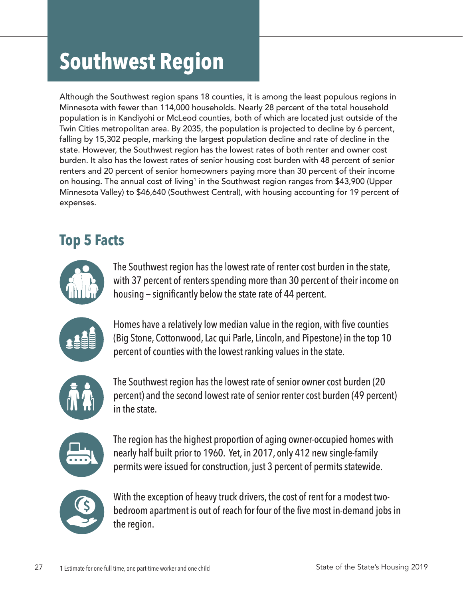# **Southwest Region**

Although the Southwest region spans 18 counties, it is among the least populous regions in Minnesota with fewer than 114,000 households. Nearly 28 percent of the total household population is in Kandiyohi or McLeod counties, both of which are located just outside of the Twin Cities metropolitan area. By 2035, the population is projected to decline by 6 percent, falling by 15,302 people, marking the largest population decline and rate of decline in the state. However, the Southwest region has the lowest rates of both renter and owner cost burden. It also has the lowest rates of senior housing cost burden with 48 percent of senior renters and 20 percent of senior homeowners paying more than 30 percent of their income on housing. The annual cost of living<sup>1</sup> in the Southwest region ranges from \$43,900 (Upper Minnesota Valley) to \$46,640 (Southwest Central), with housing accounting for 19 percent of expenses.

# **Top 5 Facts**



The Southwest region has the lowest rate of renter cost burden in the state, with 37 percent of renters spending more than 30 percent of their income on housing — significantly below the state rate of 44 percent.



Homes have a relatively low median value in the region, with five counties (Big Stone, Cottonwood, Lac qui Parle, Lincoln, and Pipestone) in the top 10 percent of counties with the lowest ranking values in the state.



The Southwest region has the lowest rate of senior owner cost burden (20 percent) and the second lowest rate of senior renter cost burden (49 percent) in the state.



The region has the highest proportion of aging owner-occupied homes with nearly half built prior to 1960. Yet, in 2017, only 412 new single-family permits were issued for construction, just 3 percent of permits statewide.



With the exception of heavy truck drivers, the cost of rent for a modest twobedroom apartment is out of reach for four of the five most in-demand jobs in the region.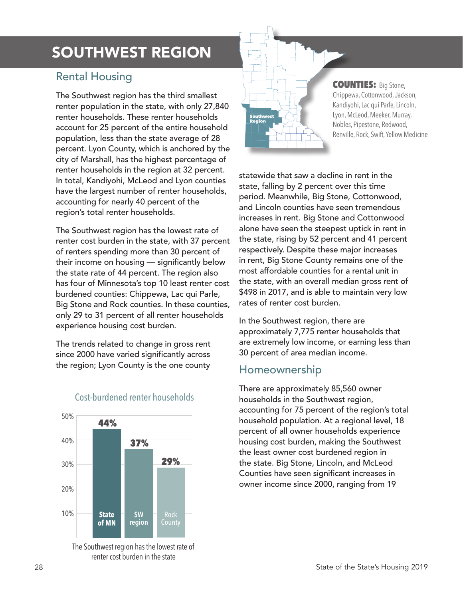# SOUTHWEST REGION

#### Rental Housing

The Southwest region has the third smallest renter population in the state, with only 27,840 renter households. These renter households account for 25 percent of the entire household population, less than the state average of 28 percent. Lyon County, which is anchored by the city of Marshall, has the highest percentage of renter households in the region at 32 percent. In total, Kandiyohi, McLeod and Lyon counties have the largest number of renter households, accounting for nearly 40 percent of the region's total renter households.

The Southwest region has the lowest rate of renter cost burden in the state, with 37 percent of renters spending more than 30 percent of their income on housing — significantly below the state rate of 44 percent. The region also has four of Minnesota's top 10 least renter cost burdened counties: Chippewa, Lac qui Parle, Big Stone and Rock counties. In these counties, only 29 to 31 percent of all renter households experience housing cost burden.

The trends related to change in gross rent since 2000 have varied significantly across the region; Lyon County is the one county



#### Cost-burdened renter households

The Southwest region has the lowest rate of renter cost burden in the state



#### COUNTIES: Big Stone, Chippewa, Cottonwood, Jackson, Kandiyohi, Lac qui Parle, Lincoln, Lyon, McLeod, Meeker, Murray, Nobles, Pipestone, Redwood, Renville, Rock, Swift, Yellow Medicine

statewide that saw a decline in rent in the state, falling by 2 percent over this time period. Meanwhile, Big Stone, Cottonwood, and Lincoln counties have seen tremendous increases in rent. Big Stone and Cottonwood alone have seen the steepest uptick in rent in the state, rising by 52 percent and 41 percent respectively. Despite these major increases in rent, Big Stone County remains one of the most affordable counties for a rental unit in the state, with an overall median gross rent of \$498 in 2017, and is able to maintain very low rates of renter cost burden.

In the Southwest region, there are approximately 7,775 renter households that are extremely low income, or earning less than 30 percent of area median income.

#### Homeownership

There are approximately 85,560 owner households in the Southwest region, accounting for 75 percent of the region's total household population. At a regional level, 18 percent of all owner households experience housing cost burden, making the Southwest the least owner cost burdened region in the state. Big Stone, Lincoln, and McLeod Counties have seen significant increases in owner income since 2000, ranging from 19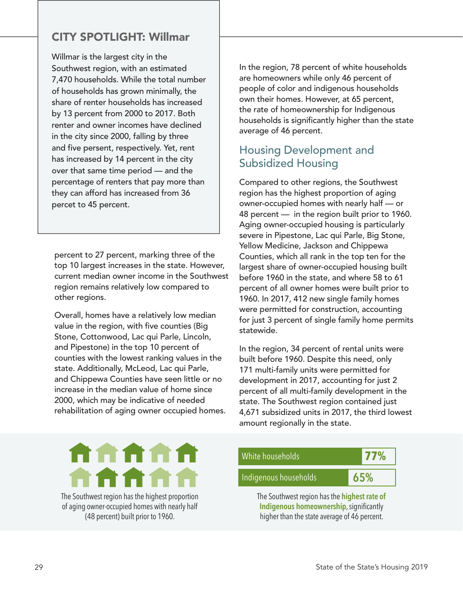## CITY SPOTLIGHT: Willmar

Willmar is the largest city in the Southwest region, with an estimated 7,470 households. While the total number of households has grown minimally, the share of renter households has increased by 13 percent from 2000 to 2017. Both renter and owner incomes have declined in the city since 2000, falling by three and five persent, respectively. Yet, rent has increased by 14 percent in the city over that same time period — and the percentage of renters that pay more than they can afford has increased from 36 percet to 45 percent.

percent to 27 percent, marking three of the top 10 largest increases in the state. However, current median owner income in the Southwest region remains relatively low compared to other regions.

Overall, homes have a relatively low median value in the region, with five counties (Big Stone, Cottonwood, Lac qui Parle, Lincoln, and Pipestone) in the top 10 percent of counties with the lowest ranking values in the state. Additionally, McLeod, Lac qui Parle, and Chippewa Counties have seen little or no increase in the median value of home since 2000, which may be indicative of needed rehabilitation of aging owner occupied homes. In the region, 78 percent of white households are homeowners while only 46 percent of people of color and indigenous households own their homes. However, at 65 percent, the rate of homeownership for Indigenous households is significantly higher than the state average of 46 percent.

### Housing Development and Subsidized Housing

Compared to other regions, the Southwest region has the highest proportion of aging owner-occupied homes with nearly half — or 48 percent — in the region built prior to 1960. Aging owner-occupied housing is particularly severe in Pipestone, Lac qui Parle, Big Stone, Yellow Medicine, Jackson and Chippewa Counties, which all rank in the top ten for the largest share of owner-occupied housing built before 1960 in the state, and where 58 to 61 percent of all owner homes were built prior to 1960. In 2017, 412 new single family homes were permitted for construction, accounting for just 3 percent of single family home permits statewide.

In the region, 34 percent of rental units were built before 1960. Despite this need, only 171 multi-family units were permitted for development in 2017, accounting for just 2 percent of all multi-family development in the state. The Southwest region contained just 4,671 subsidized units in 2017, the third lowest amount regionally in the state.



The Southwest region has the highest proportion of aging owner-occupied homes with nearly half (48 percent) built prior to 1960.

White households **77%** Indigenous households **65%** The Southwest region has the **highest rate of** 

**Indigenous homeownership**, significantly higher than the state average of 46 percent.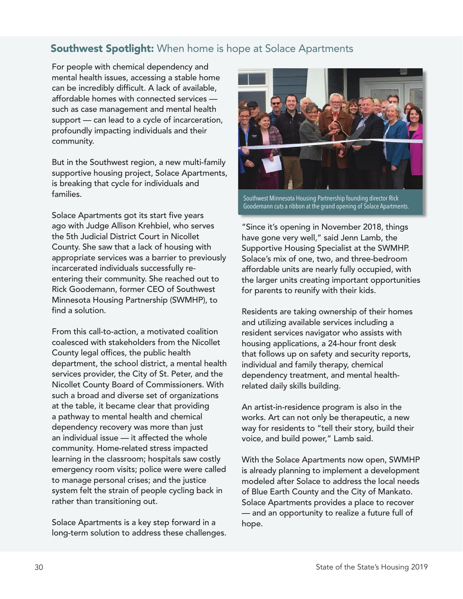#### **Southwest Spotlight:** When home is hope at Solace Apartments

For people with chemical dependency and mental health issues, accessing a stable home can be incredibly difficult. A lack of available, affordable homes with connected services such as case management and mental health support — can lead to a cycle of incarceration, profoundly impacting individuals and their community.

But in the Southwest region, a new multi-family supportive housing project, Solace Apartments, is breaking that cycle for individuals and families.

Solace Apartments got its start five years ago with Judge Allison Krehbiel, who serves the 5th Judicial District Court in Nicollet County. She saw that a lack of housing with appropriate services was a barrier to previously incarcerated individuals successfully reentering their community. She reached out to Rick Goodemann, former CEO of Southwest Minnesota Housing Partnership (SWMHP), to find a solution.

From this call-to-action, a motivated coalition coalesced with stakeholders from the Nicollet County legal offices, the public health department, the school district, a mental health services provider, the City of St. Peter, and the Nicollet County Board of Commissioners. With such a broad and diverse set of organizations at the table, it became clear that providing a pathway to mental health and chemical dependency recovery was more than just an individual issue — it affected the whole community. Home-related stress impacted learning in the classroom; hospitals saw costly emergency room visits; police were were called to manage personal crises; and the justice system felt the strain of people cycling back in rather than transitioning out.

Solace Apartments is a key step forward in a long-term solution to address these challenges.



Southwest Minnesota Housing Partnership founding director Rick Goodemann cuts a ribbon at the grand opening of Solace Apartments.

"Since it's opening in November 2018, things have gone very well," said Jenn Lamb, the Supportive Housing Specialist at the SWMHP. Solace's mix of one, two, and three-bedroom affordable units are nearly fully occupied, with the larger units creating important opportunities for parents to reunify with their kids.

Residents are taking ownership of their homes and utilizing available services including a resident services navigator who assists with housing applications, a 24-hour front desk that follows up on safety and security reports, individual and family therapy, chemical dependency treatment, and mental healthrelated daily skills building.

An artist-in-residence program is also in the works. Art can not only be therapeutic, a new way for residents to "tell their story, build their voice, and build power," Lamb said.

With the Solace Apartments now open, SWMHP is already planning to implement a development modeled after Solace to address the local needs of Blue Earth County and the City of Mankato. Solace Apartments provides a place to recover — and an opportunity to realize a future full of hope.